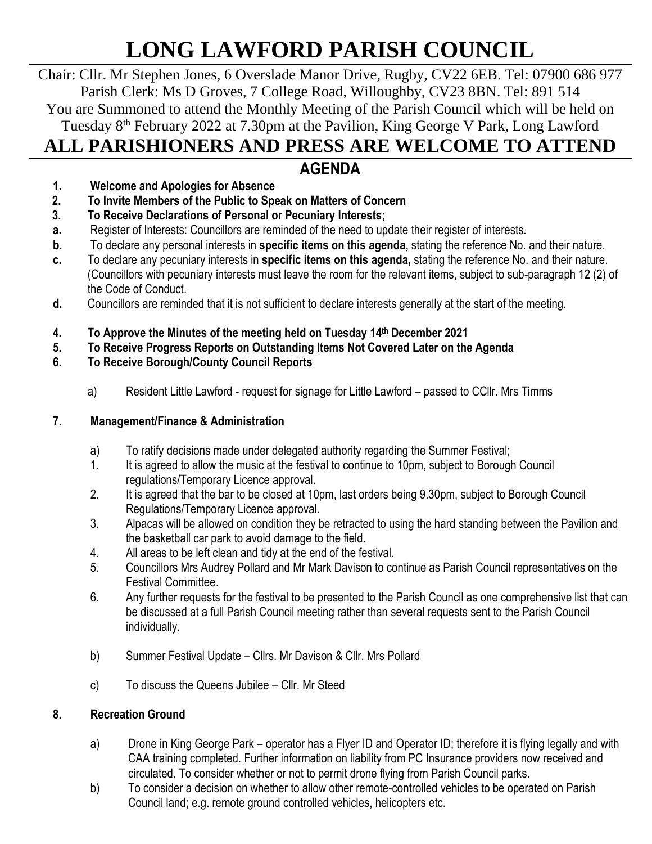# **LONG LAWFORD PARISH COUNCIL**

Chair: Cllr. Mr Stephen Jones, 6 Overslade Manor Drive, Rugby, CV22 6EB. Tel: 07900 686 977 Parish Clerk: Ms D Groves, 7 College Road, Willoughby, CV23 8BN. Tel: 891 514 You are Summoned to attend the Monthly Meeting of the Parish Council which will be held on Tuesday 8<sup>th</sup> February 2022 at 7.30pm at the Pavilion, King George V Park, Long Lawford **ALL PARISHIONERS AND PRESS ARE WELCOME TO ATTEND**

# **AGENDA**

- **1. Welcome and Apologies for Absence**
- **2. To Invite Members of the Public to Speak on Matters of Concern**
- **3. To Receive Declarations of Personal or Pecuniary Interests;**
- **a.** Register of Interests: Councillors are reminded of the need to update their register of interests.
- **b.** To declare any personal interests in **specific items on this agenda,** stating the reference No. and their nature.
- **c.** To declare any pecuniary interests in **specific items on this agenda,** stating the reference No. and their nature. (Councillors with pecuniary interests must leave the room for the relevant items, subject to sub-paragraph 12 (2) of the Code of Conduct.
- **d.** Councillors are reminded that it is not sufficient to declare interests generally at the start of the meeting.
- **4. To Approve the Minutes of the meeting held on Tuesday 14 th December 2021**
- **5. To Receive Progress Reports on Outstanding Items Not Covered Later on the Agenda**
- **6. To Receive Borough/County Council Reports**
	- a) Resident Little Lawford request for signage for Little Lawford passed to CCllr. Mrs Timms

## **7. Management/Finance & Administration**

- a) To ratify decisions made under delegated authority regarding the Summer Festival;
- 1. It is agreed to allow the music at the festival to continue to 10pm, subject to Borough Council regulations/Temporary Licence approval.
- 2. It is agreed that the bar to be closed at 10pm, last orders being 9.30pm, subject to Borough Council Regulations/Temporary Licence approval.
- 3. Alpacas will be allowed on condition they be retracted to using the hard standing between the Pavilion and the basketball car park to avoid damage to the field.
- 4. All areas to be left clean and tidy at the end of the festival.
- 5. Councillors Mrs Audrey Pollard and Mr Mark Davison to continue as Parish Council representatives on the Festival Committee.
- 6. Any further requests for the festival to be presented to the Parish Council as one comprehensive list that can be discussed at a full Parish Council meeting rather than several requests sent to the Parish Council individually.
- b) Summer Festival Update Cllrs. Mr Davison & Cllr. Mrs Pollard
- c) To discuss the Queens Jubilee Cllr. Mr Steed

## **8. Recreation Ground**

- a) Drone in King George Park operator has a Flyer ID and Operator ID; therefore it is flying legally and with CAA training completed. Further information on liability from PC Insurance providers now received and circulated. To consider whether or not to permit drone flying from Parish Council parks.
- b) To consider a decision on whether to allow other remote-controlled vehicles to be operated on Parish Council land; e.g. remote ground controlled vehicles, helicopters etc.